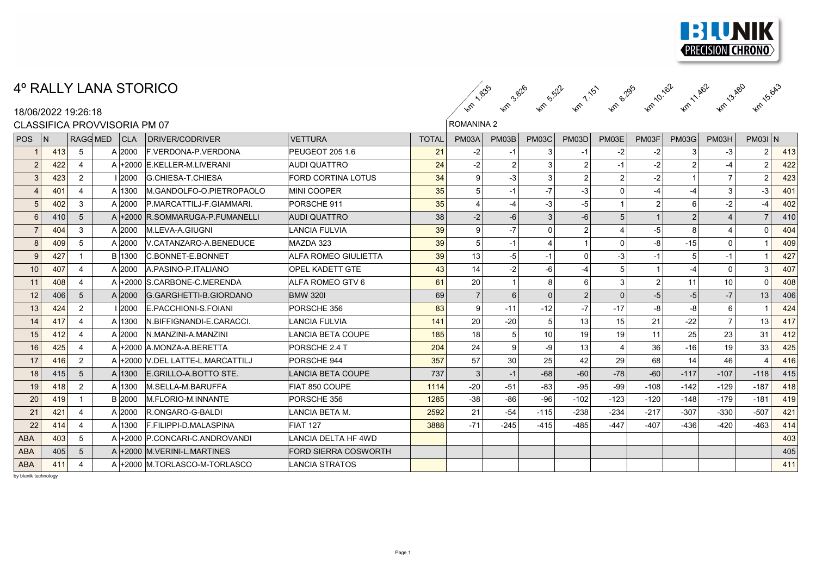

## 4º RALLY LANA STORICO

18/06/2022 19:26:18

#### ROMANINA 2  $\kappa$  ,  $\kappa$  ,  $\kappa$  ,  $\kappa$  ,  $\kappa$  ,  $\kappa$  ,  $\kappa$  $\left( \hat{e}_{32}^2 - \hat{e}_{36}^2 - \hat{e}_{35}^2 - \hat{e}_{36}^2 - \hat{e}_{36}^2 - \hat{e}_{36}^2 - \hat{e}_{36}^2 - \hat{e}_{36}^2 - \hat{e}_{36}^2 - \hat{e}_{36}^2 - \hat{e}_{36}^2 - \hat{e}_{36}^2 - \hat{e}_{36}^2 - \hat{e}_{36}^2 - \hat{e}_{36}^2 - \hat{e}_{36}^2 - \hat{e}_{36}^2 - \hat{e}_{36}^2 - \hat{e}_{36}^2 - \hat{e}_{36}$  $\kappa$  ,  $\kappa$  ,  $\kappa$  ,  $\kappa$  ,  $\kappa$  ,  $\kappa$  ,  $\kappa$ 3.82 1.63 8.28 6.64 1.8  $\kappa_{\rm c}$  ,  $\kappa_{\rm c}$  ,  $\kappa_{\rm c}$  ,  $\kappa_{\rm c}$  ,  $\kappa_{\rm c}$  ,  $\kappa_{\rm c}$  $5.5\%$   $7.5\%$   $5.5\%$   $5.5\%$   $5.5\%$  $\kappa_{\rm c}$  ,  $\kappa_{\rm c}$  ,  $\kappa_{\rm c}$  ,  $\kappa_{\rm c}$  ,  $\kappa_{\rm c}$ 1.50 P.20 P.20 V.20 P.20 P.20  $\kappa_{\rm c}$  and  $\kappa_{\rm c}$  and  $\kappa_{\rm c}$ e.295 Am 12.462 Am 15.643

| CLASSIFICA PROVVISORIA PM 07 |                |                |          |        |                                  | <b>ROMANINA 2</b>           |              |                |                |                |                |                |                |                |                       |                |     |
|------------------------------|----------------|----------------|----------|--------|----------------------------------|-----------------------------|--------------|----------------|----------------|----------------|----------------|----------------|----------------|----------------|-----------------------|----------------|-----|
| POS <sup>1</sup>             | $\overline{N}$ |                | RAGG MED | CLA    | DRIVER/CODRIVER                  | <b>VETTURA</b>              | <b>TOTAL</b> | PM03A          | PM03B          | <b>PM03C</b>   | PM03D          | PM03E          | PM03F          | <b>PM03G</b>   | PM03H                 | $PMO3I$ N      |     |
|                              | 413            | $\sqrt{5}$     |          | A 2000 | <b>F. VERDONA-P. VERDONA</b>     | <b>PEUGEOT 205 1.6</b>      | 21           | -2             |                |                | $-1$           | -2             | $-2$           | 3              | -3                    | 2              | 413 |
| $\overline{2}$               | 422            |                |          |        | A +2000 E.KELLER-M.LIVERANI      | <b>AUDI QUATTRO</b>         | 24           | $-2$           | $\overline{2}$ |                | $\overline{2}$ | $-1$           | $-2$           | $\mathfrak{p}$ | $-4$                  | $\overline{2}$ | 422 |
| 3                            | 423            | 2              |          | 1 2000 | <b>G.CHIESA-T.CHIESA</b>         | <b>FORD CORTINA LOTUS</b>   | 34           | 9              | $-3$           |                | 2              | $\overline{2}$ | $-2$           |                |                       | $\overline{2}$ | 423 |
| $\overline{4}$               | 401            | 4              |          | A 1300 | M.GANDOLFO-O.PIETROPAOLO         | <b>MINI COOPER</b>          | 35           | 5              | $-1$           | $-7$           | $-3$           | $\Omega$       | -4             | -4             | 3                     | -3             | 401 |
| $5\phantom{.0}$              | 402            | 3              |          | A 2000 | P.MARCATTILJ-F.GIAMMARI.         | PORSCHE 911                 | 35           | $\overline{4}$ | $-4$           | $-3$           | -5             |                | $\mathcal{P}$  | 6              | $-2$                  |                | 402 |
| 6                            | 410            | 5              |          |        | A +2000 R.SOMMARUGA-P.FUMANELLI  | AUDI QUATTRO                | 38           | $-2$           | $-6$           | $\overline{3}$ | $-6$           | 5              |                | $\mathfrak{p}$ | $\boldsymbol{\Delta}$ |                | 410 |
| $\overline{7}$               | 404            | 3              |          | A 2000 | M.LEVA-A.GIUGNI                  | <b>LANCIA FULVIA</b>        | 39           | 9              | $-7'$          | $\Omega$       | 2              | $\overline{4}$ | $-5$           | 8              | 4                     | $\Omega$       | 404 |
| 8                            | 409            | 5              |          | A 2000 | V.CATANZARO-A.BENEDUCE           | MAZDA 323                   | 39           | 5              | $-1$           |                |                | $\mathbf 0$    | -8             | $-15$          | $\Omega$              |                | 409 |
| 9                            | 427            |                |          | B 1300 | <b>C.BONNET-E.BONNET</b>         | ALFA ROMEO GIULIETTA        | 39           | 13             | $-5$           | $-1$           | $\mathbf{0}$   | $-3$           | $-1$           | 5              | $-1$                  |                | 427 |
| 10                           | 407            |                |          | A 2000 | A PASINO-P ITALIANO              | OPEL KADETT GTE             | 43           | 14             | $-2$           | -6             | $-4$           | $\,$ 5 $\,$    |                | $-4$           | $\Omega$              | 3              | 407 |
| 11                           | 408            | 4              |          |        | A +2000 S CARBONE-C MERENDA      | ALFA ROMEO GTV 6            | 61           | 20             |                |                | 6              | $\mathbf{3}$   | $\overline{2}$ | 11             | 10                    | $\Omega$       | 408 |
| 12                           | 406            | 5              |          | A 2000 | G.GARGHETTI-B.GIORDANO           | <b>BMW 3201</b>             | 69           | $\overline{7}$ | 6              |                | $\overline{2}$ | $\Omega$       | $-5$           | $-5$           | $-7$                  | 13             | 406 |
| 13                           | 424            | $\overline{2}$ |          | 12000  | E.PACCHIONI-S.FOIANI             | PORSCHE 356                 | 83           | 9              | $-11$          | $-12$          | $-7$           | $-17$          | $-8$           | -8             | 6                     |                | 424 |
| 14                           | 417            |                |          | A 1300 | IN.BIFFIGNANDI-E.CARACCI.        | <b>LANCIA FULVIA</b>        | 141          | 20             | $-20$          |                | 13             | 15             | 21             | $-22$          | $\overline{7}$        | 13             | 417 |
| 15                           | 412            |                |          | A 2000 | N.MANZINI-A.MANZINI              | <b>LANCIA BETA COUPE</b>    | 185          | 18             | 5 <sup>1</sup> | 10             | 19             | 19             | 11             | 25             | 23                    | 31             | 412 |
| 16                           | 425            | 4              |          |        | A +2000 A MONZA-A BERETTA        | PORSCHE 2.4 T               | 204          | 24             | 9 <sup>1</sup> | -9             | 13             | $\overline{4}$ | 36             | $-16$          | 19                    | 33             | 425 |
| 17                           | 416            | $\overline{2}$ |          |        | A +2000 V.DEL LATTE-L.MARCATTILJ | PORSCHE 944                 | 357          | 57             | 30             | 25             | 42             | 29             | 68             | 14             | 46                    |                | 416 |
| 18                           | 415            | 5              |          | A 1300 | E.GRILLO-A.BOTTO STE.            | LANCIA BETA COUPE           | 737          | 3              | $-1$           | $-68$          | $-60$          | $-78$          | $-60$          | $-117$         | $-107$                | $-118$         | 415 |
| 19                           | 418            | $\overline{2}$ |          | A 1300 | <b>M.SELLA-M.BARUFFA</b>         | FIAT 850 COUPE              | 1114         | $-20$          | $-51$          | $-83$          | $-95$          | $-99$          | $-108$         | $-142$         | $-129$                | $-187$         | 418 |
| 20                           | 419            |                |          | B 2000 | <b>M.FLORIO-M.INNANTE</b>        | PORSCHE 356                 | 1285         | $-38$          | -86            | $-96$          | $-102$         | $-123$         | $-120$         | $-148$         | $-179$                | $-181$         | 419 |
| 21                           | 421            | Δ              |          | A 2000 | R.ONGARO-G-BALDI                 | LANCIA BETA M.              | 2592         | 21             | $-54$          | $-115$         | $-238$         | $-234$         | $-217$         | $-307$         | $-330$                | $-507$         | 421 |
| 22                           | 414            |                |          | A 1300 | F.FILIPPI-D.MALASPINA            | <b>FIAT 127</b>             | 3888         | $-71$          | $-245$         | $-415$         | $-485$         | $-447$         | $-407$         | $-436$         | $-420$                | $-463$         | 414 |
| <b>ABA</b>                   | 403            | 5              |          |        | A +2000 P.CONCARI-C.ANDROVANDI   | <b>LANCIA DELTA HF 4WD</b>  |              |                |                |                |                |                |                |                |                       |                | 403 |
| <b>ABA</b>                   | 405            | 5              |          |        | A +2000 M. VERINI-L. MARTINES    | <b>FORD SIERRA COSWORTH</b> |              |                |                |                |                |                |                |                |                       |                | 405 |
| <b>ABA</b>                   | 411            |                |          |        | A +2000 M.TORLASCO-M-TORLASCO    | <b>LANCIA STRATOS</b>       |              |                |                |                |                |                |                |                |                       |                | 411 |

by blunik technology